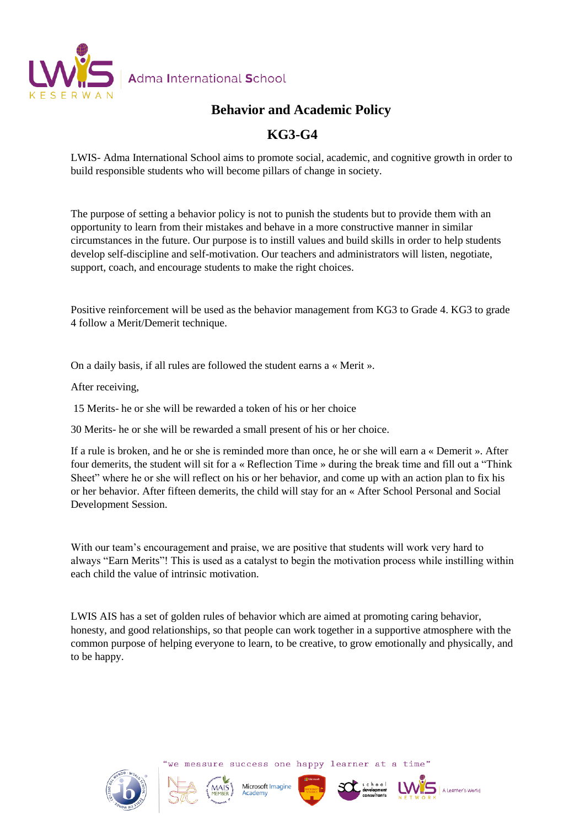

### **Behavior and Academic Policy**

### **KG3-G4**

LWIS- Adma International School aims to promote social, academic, and cognitive growth in order to build responsible students who will become pillars of change in society.

The purpose of setting a behavior policy is not to punish the students but to provide them with an opportunity to learn from their mistakes and behave in a more constructive manner in similar circumstances in the future. Our purpose is to instill values and build skills in order to help students develop self-discipline and self-motivation. Our teachers and administrators will listen, negotiate, support, coach, and encourage students to make the right choices.

Positive reinforcement will be used as the behavior management from KG3 to Grade 4. KG3 to grade 4 follow a Merit/Demerit technique.

On a daily basis, if all rules are followed the student earns a « Merit ».

After receiving,

15 Merits- he or she will be rewarded a token of his or her choice

30 Merits- he or she will be rewarded a small present of his or her choice.

If a rule is broken, and he or she is reminded more than once, he or she will earn a « Demerit ». After four demerits, the student will sit for a « Reflection Time » during the break time and fill out a "Think Sheet" where he or she will reflect on his or her behavior, and come up with an action plan to fix his or her behavior. After fifteen demerits, the child will stay for an « After School Personal and Social Development Session.

With our team's encouragement and praise, we are positive that students will work very hard to always "Earn Merits"! This is used as a catalyst to begin the motivation process while instilling within each child the value of intrinsic motivation.

LWIS AIS has a set of golden rules of behavior which are aimed at promoting caring behavior, honesty, and good relationships, so that people can work together in a supportive atmosphere with the common purpose of helping everyone to learn, to be creative, to grow emotionally and physically, and to be happy.



we measure success one happy learner at a time"







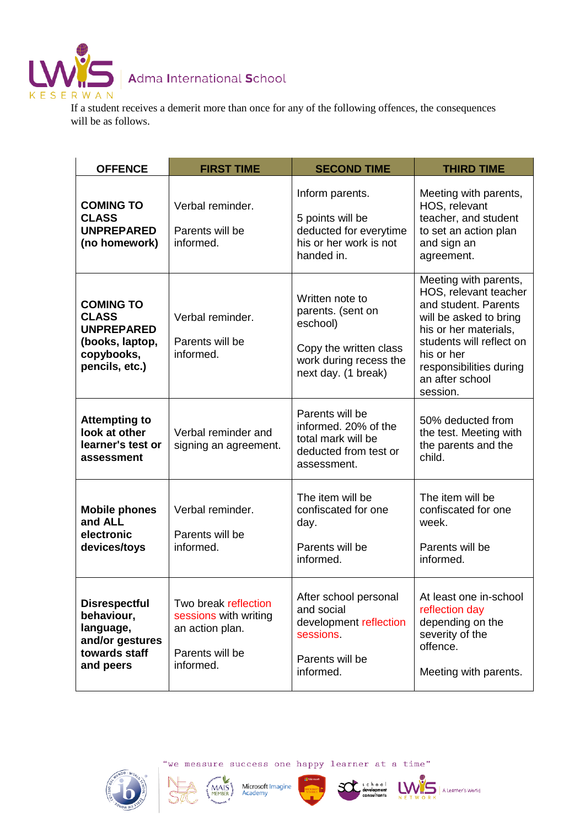

## Adma International School

If a student receives a demerit more than once for any of the following offences, the consequences will be as follows.

| <b>OFFENCE</b>                                                                                           | <b>FIRST TIME</b>                                                                                | <b>SECOND TIME</b>                                                                                                          | <b>THIRD TIME</b>                                                                                                                                                                                                             |
|----------------------------------------------------------------------------------------------------------|--------------------------------------------------------------------------------------------------|-----------------------------------------------------------------------------------------------------------------------------|-------------------------------------------------------------------------------------------------------------------------------------------------------------------------------------------------------------------------------|
| <b>COMING TO</b><br><b>CLASS</b><br><b>UNPREPARED</b><br>(no homework)                                   | Verbal reminder.<br>Parents will be<br>informed.                                                 | Inform parents.<br>5 points will be<br>deducted for everytime<br>his or her work is not<br>handed in.                       | Meeting with parents,<br>HOS, relevant<br>teacher, and student<br>to set an action plan<br>and sign an<br>agreement.                                                                                                          |
| <b>COMING TO</b><br><b>CLASS</b><br><b>UNPREPARED</b><br>(books, laptop,<br>copybooks,<br>pencils, etc.) | Verbal reminder.<br>Parents will be<br>informed.                                                 | Written note to<br>parents. (sent on<br>eschool)<br>Copy the written class<br>work during recess the<br>next day. (1 break) | Meeting with parents,<br>HOS, relevant teacher<br>and student. Parents<br>will be asked to bring<br>his or her materials,<br>students will reflect on<br>his or her<br>responsibilities during<br>an after school<br>session. |
| <b>Attempting to</b><br>look at other<br>learner's test or<br>assessment                                 | Verbal reminder and<br>signing an agreement.                                                     | Parents will be<br>informed. 20% of the<br>total mark will be<br>deducted from test or<br>assessment.                       | 50% deducted from<br>the test. Meeting with<br>the parents and the<br>child.                                                                                                                                                  |
| <b>Mobile phones</b><br>and ALL<br>electronic<br>devices/toys                                            | Verbal reminder.<br>Parents will be<br>informed.                                                 | The item will be<br>confiscated for one<br>day.<br>Parents will be<br>informed.                                             | The item will be<br>confiscated for one<br>week.<br>Parents will be<br>informed.                                                                                                                                              |
| <b>Disrespectful</b><br>behaviour,<br>language,<br>and/or gestures<br>towards staff<br>and peers         | Two break reflection<br>sessions with writing<br>an action plan.<br>Parents will be<br>informed. | After school personal<br>and social<br>development reflection<br>sessions<br>Parents will be<br>informed.                   | At least one in-school<br>reflection day<br>depending on the<br>severity of the<br>offence.<br>Meeting with parents.                                                                                                          |



"we measure success one happy learner at a time"

MAIS





A Learner's World